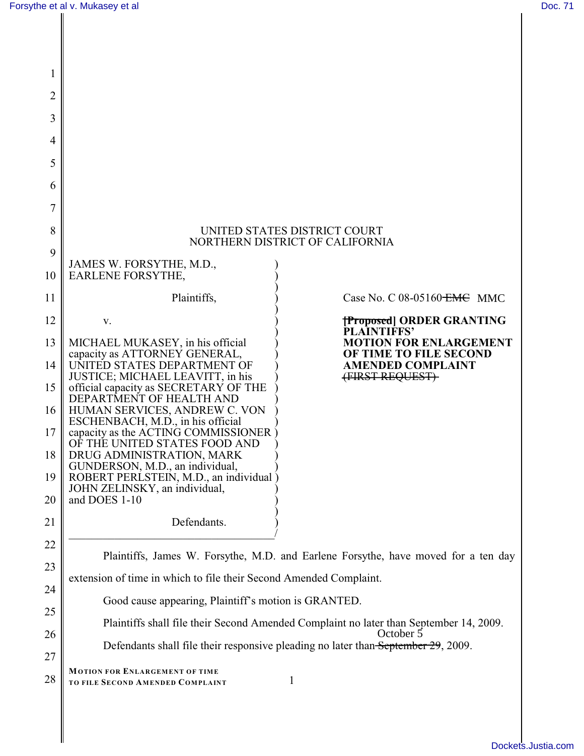I

| 1                                                        |                                                                                                                                                                                                                                                                                                                                                                                                                                                                                                                                   |                                                                                                        |  |
|----------------------------------------------------------|-----------------------------------------------------------------------------------------------------------------------------------------------------------------------------------------------------------------------------------------------------------------------------------------------------------------------------------------------------------------------------------------------------------------------------------------------------------------------------------------------------------------------------------|--------------------------------------------------------------------------------------------------------|--|
| 2                                                        |                                                                                                                                                                                                                                                                                                                                                                                                                                                                                                                                   |                                                                                                        |  |
| 3                                                        |                                                                                                                                                                                                                                                                                                                                                                                                                                                                                                                                   |                                                                                                        |  |
| 4                                                        |                                                                                                                                                                                                                                                                                                                                                                                                                                                                                                                                   |                                                                                                        |  |
| 5                                                        |                                                                                                                                                                                                                                                                                                                                                                                                                                                                                                                                   |                                                                                                        |  |
| 6                                                        |                                                                                                                                                                                                                                                                                                                                                                                                                                                                                                                                   |                                                                                                        |  |
| 7                                                        |                                                                                                                                                                                                                                                                                                                                                                                                                                                                                                                                   |                                                                                                        |  |
| 8                                                        | UNITED STATES DISTRICT COURT<br>NORTHERN DISTRICT OF CALIFORNIA                                                                                                                                                                                                                                                                                                                                                                                                                                                                   |                                                                                                        |  |
| 9                                                        | JAMES W. FORSYTHE, M.D.,                                                                                                                                                                                                                                                                                                                                                                                                                                                                                                          |                                                                                                        |  |
| 10                                                       | EARLENE FORSYTHE,                                                                                                                                                                                                                                                                                                                                                                                                                                                                                                                 |                                                                                                        |  |
| 11                                                       | Plaintiffs,                                                                                                                                                                                                                                                                                                                                                                                                                                                                                                                       | Case No. C $08-05160$ <del>EMC</del> MMC                                                               |  |
| 12                                                       | V.                                                                                                                                                                                                                                                                                                                                                                                                                                                                                                                                | <b>[Proposed] ORDER GRANTING</b><br><b>PLAINTIFFS'</b>                                                 |  |
| 13<br>14<br>15<br>16<br>17<br>18<br>19<br>20<br>21<br>22 | MICHAEL MUKASEY, in his official<br>capacity as ATTORNEY GENERAL,<br>UNITED STATES DEPARTMENT OF<br>JUSTICE; MICHAEL LEAVITT, in his<br>official capacity as SECRETARY OF THE<br>DEPARTMENT OF HEALTH AND<br>HUMAN SERVICES, ANDREW C. VON<br>ESCHENBACH, M.D., in his official<br>capacity as the ACTING COMMISSIONER<br>OF THE UNITED STATES FOOD AND<br>DRUG ADMINISTRATION, MARK<br>GUNDERSON, M.D., an individual,<br>ROBERT PERLSTEIN, M.D., an individual<br>JOHN ZELINSKY, an individual,<br>and DOES 1-10<br>Defendants. | <b>MOTION FOR ENLARGEMENT</b><br>OF TIME TO FILE SECOND<br><b>AMENDED COMPLAINT</b><br>(FIRST REQUEST) |  |
| 23                                                       | Plaintiffs, James W. Forsythe, M.D. and Earlene Forsythe, have moved for a ten day                                                                                                                                                                                                                                                                                                                                                                                                                                                |                                                                                                        |  |
| 24                                                       | extension of time in which to file their Second Amended Complaint.                                                                                                                                                                                                                                                                                                                                                                                                                                                                |                                                                                                        |  |
| 25                                                       | Good cause appearing, Plaintiff's motion is GRANTED.                                                                                                                                                                                                                                                                                                                                                                                                                                                                              |                                                                                                        |  |
| 26                                                       |                                                                                                                                                                                                                                                                                                                                                                                                                                                                                                                                   | Plaintiffs shall file their Second Amended Complaint no later than September 14, 2009.<br>October 5    |  |
| 27                                                       | Defendants shall file their responsive pleading no later than September 29, 2009.                                                                                                                                                                                                                                                                                                                                                                                                                                                 |                                                                                                        |  |
| 28                                                       | <b>MOTION FOR ENLARGEMENT OF TIME</b><br>1<br>TO FILE SECOND AMENDED COMPLAINT                                                                                                                                                                                                                                                                                                                                                                                                                                                    |                                                                                                        |  |
|                                                          |                                                                                                                                                                                                                                                                                                                                                                                                                                                                                                                                   |                                                                                                        |  |